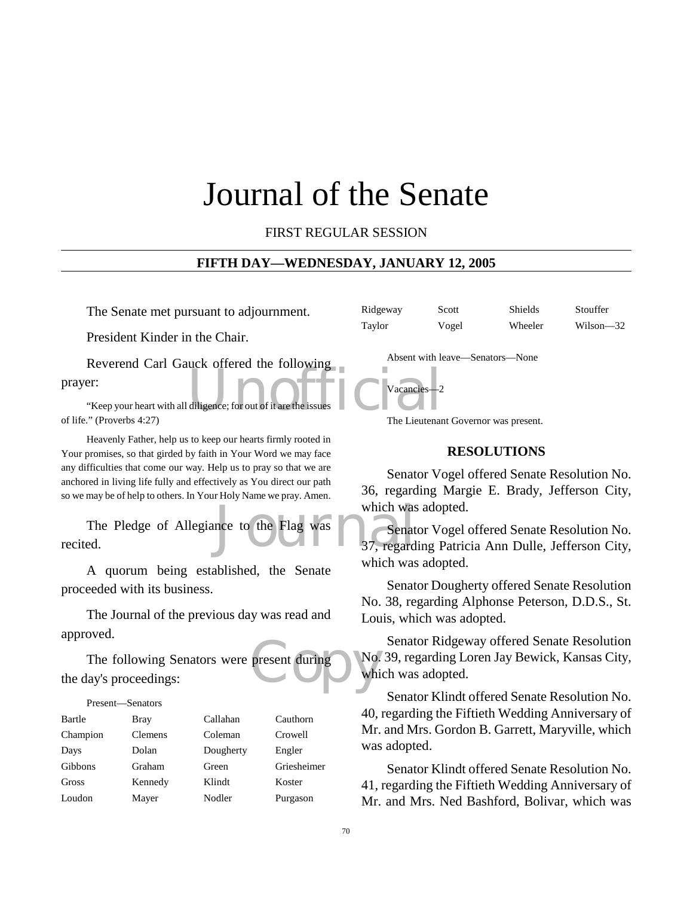# Journal of the Senate

FIRST REGULAR SESSION

#### **FIFTH DAY—WEDNESDAY, JANUARY 12, 2005**

The Senate met pursuant to adjournment.

President Kinder in the Chair.

diligence; for out of it are the issues Reverend Carl Gauck offered the following prayer:

"Keep your heart with all diligence; for out of it are the of life." (Proverbs 4:27)

Heavenly Father, help us to keep our hearts firmly rooted in Your promises, so that girded by faith in Your Word we may face any difficulties that come our way. Help us to pray so that we are anchored in living life fully and effectively as You direct our path so we may be of help to others. In Your Holy Name we pray. Amen.

which was<br>not to the Flag was<br>37, regard The Pledge of Allegiance to the Flag was recited.

A quorum being established, the Senate proceeded with its business.

The Journal of the previous day was read and approved.

present during No. The following Senators were present during the day's proceedings:

#### Present—Senators

| Bartle   | <b>Bray</b>    | Callahan  | Cauthorn    |
|----------|----------------|-----------|-------------|
| Champion | <b>Clemens</b> | Coleman   | Crowell     |
| Days     | Dolan          | Dougherty | Engler      |
| Gibbons  | Graham         | Green     | Griesheimer |
| Gross    | Kennedy        | Klindt    | Koster      |
| Loudon   | Mayer          | Nodler    | Purgason    |

Ridgeway Scott Shields Stouffer Taylor Vogel Wheeler Wilson—32

Absent with leave—Senators—None

Vacancies—2

The Lieutenant Governor was present.

#### **RESOLUTIONS**

Senator Vogel offered Senate Resolution No. 36, regarding Margie E. Brady, Jefferson City, which was adopted.

Senator Vogel offered Senate Resolution No. 37, regarding Patricia Ann Dulle, Jefferson City, which was adopted.

Senator Dougherty offered Senate Resolution No. 38, regarding Alphonse Peterson, D.D.S., St. Louis, which was adopted.

Senator Ridgeway offered Senate Resolution No. 39, regarding Loren Jay Bewick, Kansas City, which was adopted.

Senator Klindt offered Senate Resolution No. 40, regarding the Fiftieth Wedding Anniversary of Mr. and Mrs. Gordon B. Garrett, Maryville, which was adopted.

Senator Klindt offered Senate Resolution No. 41, regarding the Fiftieth Wedding Anniversary of Mr. and Mrs. Ned Bashford, Bolivar, which was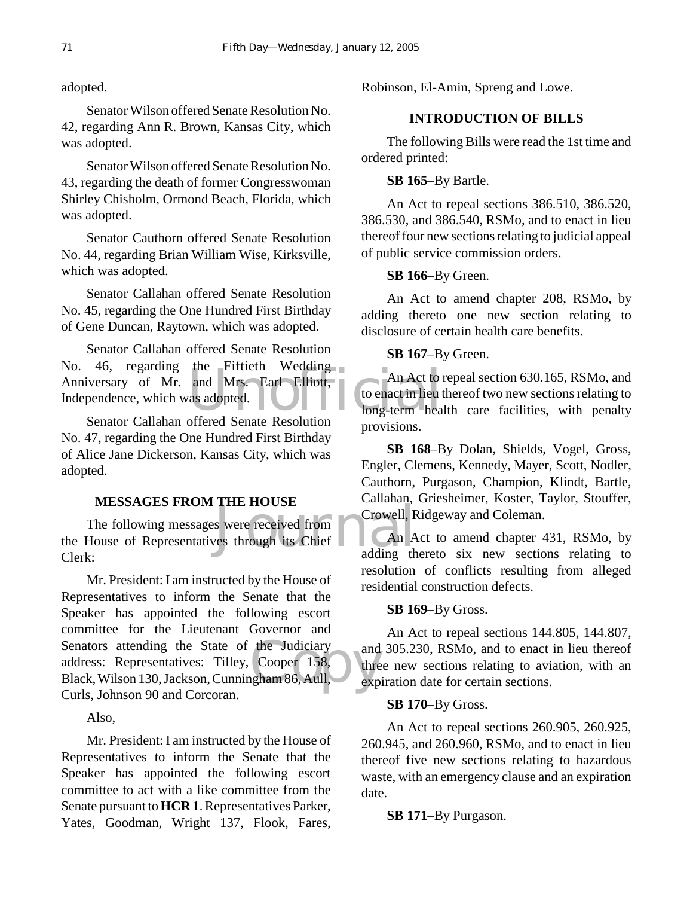adopted.

Senator Wilson offered Senate Resolution No. 42, regarding Ann R. Brown, Kansas City, which was adopted.

Senator Wilson offered Senate Resolution No. 43, regarding the death of former Congresswoman Shirley Chisholm, Ormond Beach, Florida, which was adopted.

Senator Cauthorn offered Senate Resolution No. 44, regarding Brian William Wise, Kirksville, which was adopted.

Senator Callahan offered Senate Resolution No. 45, regarding the One Hundred First Birthday of Gene Duncan, Raytown, which was adopted.

The Entern Wedding<br>and Mrs. Earl Elliott,<br>as adopted.<br>The Leonard Hong-term head Senator Callahan offered Senate Resolution No. 46, regarding the Fiftieth Wedding Anniversary of Mr. and Mrs. Earl Elliott, Independence, which was adopted.

Senator Callahan offered Senate Resolution No. 47, regarding the One Hundred First Birthday of Alice Jane Dickerson, Kansas City, which was adopted.

#### **MESSAGES FROM THE HOUSE**

s were received from<br>
Trowell, R<br>
Trowell, R<br>
The HOUSE<br>
Sunality<br>
Crowell, R<br>
An A<br>
adding the adding the reduced in the adding the definition of the adding to The following messages were received from the House of Representatives through its Chief Clerk:

Senators attending the State of the Judiciary<br>
address: Representatives: Tilley, Cooper 158,<br>
Black, Wilson 130, Jackson, Cunningham 86, Aull, exp Mr. President: I am instructed by the House of Representatives to inform the Senate that the Speaker has appointed the following escort committee for the Lieutenant Governor and address: Representatives: Tilley, Cooper 158, Black, Wilson 130, Jackson, Cunningham 86, Aull, Curls, Johnson 90 and Corcoran.

Also,

Mr. President: I am instructed by the House of Representatives to inform the Senate that the Speaker has appointed the following escort committee to act with a like committee from the Senate pursuant to **HCR 1**. Representatives Parker, Yates, Goodman, Wright 137, Flook, Fares, Robinson, El-Amin, Spreng and Lowe.

### **INTRODUCTION OF BILLS**

The following Bills were read the 1st time and ordered printed:

#### **SB 165**–By Bartle.

An Act to repeal sections 386.510, 386.520, 386.530, and 386.540, RSMo, and to enact in lieu thereof four new sections relating to judicial appeal of public service commission orders.

#### **SB 166**–By Green.

An Act to amend chapter 208, RSMo, by adding thereto one new section relating to disclosure of certain health care benefits.

#### **SB 167**–By Green.

An Act to repeal section 630.165, RSMo, and to enact in lieu thereof two new sections relating to long-term health care facilities, with penalty provisions.

**SB 168**–By Dolan, Shields, Vogel, Gross, Engler, Clemens, Kennedy, Mayer, Scott, Nodler, Cauthorn, Purgason, Champion, Klindt, Bartle, Callahan, Griesheimer, Koster, Taylor, Stouffer, Crowell, Ridgeway and Coleman.

An Act to amend chapter 431, RSMo, by adding thereto six new sections relating to resolution of conflicts resulting from alleged residential construction defects.

#### **SB 169**–By Gross.

An Act to repeal sections 144.805, 144.807, and 305.230, RSMo, and to enact in lieu thereof three new sections relating to aviation, with an expiration date for certain sections.

#### **SB 170**–By Gross.

An Act to repeal sections 260.905, 260.925, 260.945, and 260.960, RSMo, and to enact in lieu thereof five new sections relating to hazardous waste, with an emergency clause and an expiration date.

**SB 171**–By Purgason.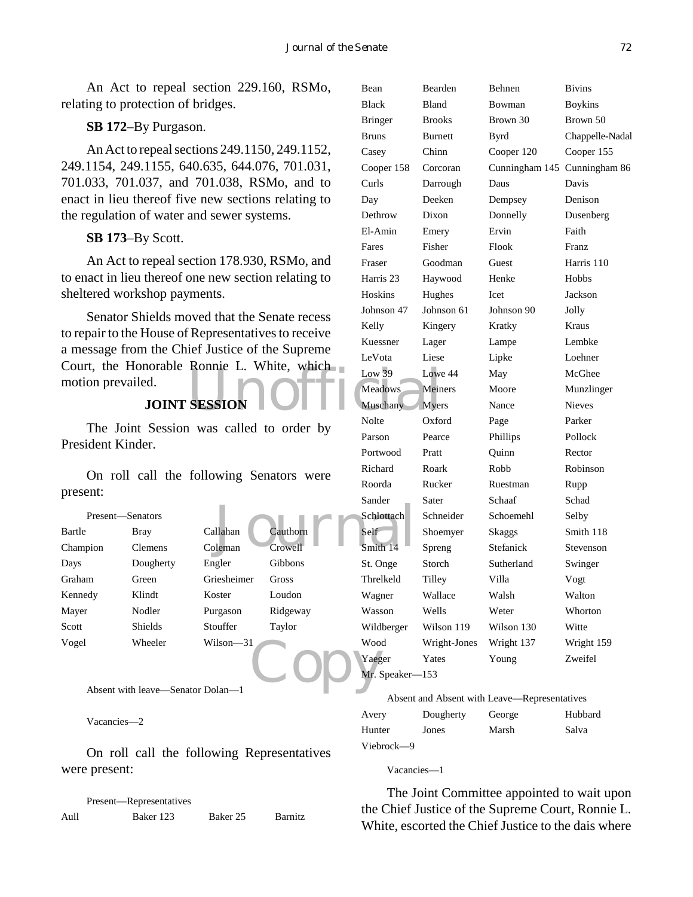An Act to repeal section 229.160, RSMo, relating to protection of bridges.

#### **SB 172**–By Purgason.

An Act to repeal sections 249.1150, 249.1152, 249.1154, 249.1155, 640.635, 644.076, 701.031, 701.033, 701.037, and 701.038, RSMo, and to enact in lieu thereof five new sections relating to the regulation of water and sewer systems.

#### **SB 173**–By Scott.

An Act to repeal section 178.930, RSMo, and to enact in lieu thereof one new section relating to sheltered workshop payments.

Court, the Honorable Ronnie L. White, which<br>
Low 39 Low<br>
JOINT SESSION<br>
Muschany Meri<br>
Muschany Myer<br>
Note Senator Shields moved that the Senate recess to repair to the House of Representatives to receive a message from the Chief Justice of the Supreme motion prevailed.

### **JOINT SESSION**

The Joint Session was called to order by President Kinder.

On roll call the following Senators were present:

|                                   |                  |             |          | wanuvi       |
|-----------------------------------|------------------|-------------|----------|--------------|
|                                   | Present—Senators |             |          | Schlottach   |
| Bartle                            | <b>Bray</b>      | Callahan    | Cauthorn | Self         |
| Champion                          | <b>Clemens</b>   | Coleman     | Crowell  | Smith 14     |
| Days                              | Dougherty        | Engler      | Gibbons  | St. Onge     |
| Graham                            | Green            | Griesheimer | Gross    | Threlkeld    |
| Kennedy                           | Klindt           | Koster      | Loudon   | Wagner       |
| Mayer                             | Nodler           | Purgason    | Ridgeway | Wasson       |
| Scott                             | <b>Shields</b>   | Stouffer    | Taylor   | Wildberger   |
| Vogel                             | Wheeler          | Wilson-31   |          | Wood         |
|                                   |                  |             |          | Yaeger       |
|                                   |                  |             |          | Mr. Speaker- |
| Absent with leave—Senator Dolan—1 |                  |             |          |              |

Absent with leave—Senator Dolan—1

Vacancies—2

On roll call the following Representatives were present:

|      | Present—Representatives |          |                |
|------|-------------------------|----------|----------------|
| Aull | Baker 123               | Baker 25 | <b>Barnitz</b> |

| Bean            | Bearden        | Behnen                       | <b>Bivins</b>   |
|-----------------|----------------|------------------------------|-----------------|
| <b>Black</b>    | Bland          | Bowman                       | <b>Boykins</b>  |
| Bringer         | <b>Brooks</b>  | Brown 30                     | Brown 50        |
| Bruns           | <b>Burnett</b> | <b>Byrd</b>                  | Chappelle-Nadal |
| Casey           | Chinn          | Cooper 120                   | Cooper 155      |
| Cooper 158      | Corcoran       | Cunningham 145 Cunningham 86 |                 |
| Curls           | Darrough       | Daus                         | Davis           |
| Day             | Deeken         | Dempsey                      | Denison         |
| Dethrow         | Dixon          | Donnelly                     | Dusenberg       |
| El-Amin         | Emery          | Ervin                        | Faith           |
| Fares           | Fisher         | Flook                        | Franz           |
| Fraser          | Goodman        | Guest                        | Harris 110      |
| Harris 23       | Haywood        | Henke                        | Hobbs           |
| Hoskins         | Hughes         | <b>Icet</b>                  | Jackson         |
| Johnson 47      | Johnson 61     | Johnson 90                   | Jolly           |
| Kelly           | Kingery        | Kratky                       | Kraus           |
| Kuessner        | Lager          | Lampe                        | Lembke          |
| LeVota          | Liese          | Lipke                        | Loehner         |
| Low 39          | Lowe 44        | May                          | McGhee          |
| <b>Meadows</b>  | Meiners        | Moore                        | Munzlinger      |
| Muschany        | <b>Myers</b>   | Nance                        | <b>Nieves</b>   |
| Nolte           | Oxford         | Page                         | Parker          |
| Parson          | Pearce         | Phillips                     | Pollock         |
| Portwood        | Pratt          | Quinn                        | Rector          |
| Richard         | Roark          | Robb                         | Robinson        |
| Roorda          | Rucker         | Ruestman                     | Rupp            |
| Sander          | Sater          | Schaaf                       | Schad           |
| Schlottach      | Schneider      | Schoemehl                    | Selby           |
| Self-           | Shoemyer       | Skaggs                       | Smith 118       |
| Smith 14        | Spreng         | Stefanick                    | Stevenson       |
| St. Onge        | Storch         | Sutherland                   | Swinger         |
| Threlkeld       | Tilley         | Villa                        | Vogt            |
| Wagner          | Wallace        | Walsh                        | Walton          |
| Wasson          | Wells          | Weter                        | Whorton         |
| Wildberger      | Wilson 119     | Wilson 130                   | Witte           |
| Wood            | Wright-Jones   | Wright 137                   | Wright 159      |
| Yaeger          | Yates          | Young                        | Zweifel         |
| Mr. Speaker-153 |                |                              |                 |

#### Absent and Absent with Leave—Representatives

| Avery      | Dougherty | George | Hubbard |
|------------|-----------|--------|---------|
| Hunter     | Jones     | Marsh  | Salva   |
| Viebrock—9 |           |        |         |

Vacancies—1

The Joint Committee appointed to wait upon the Chief Justice of the Supreme Court, Ronnie L. White, escorted the Chief Justice to the dais where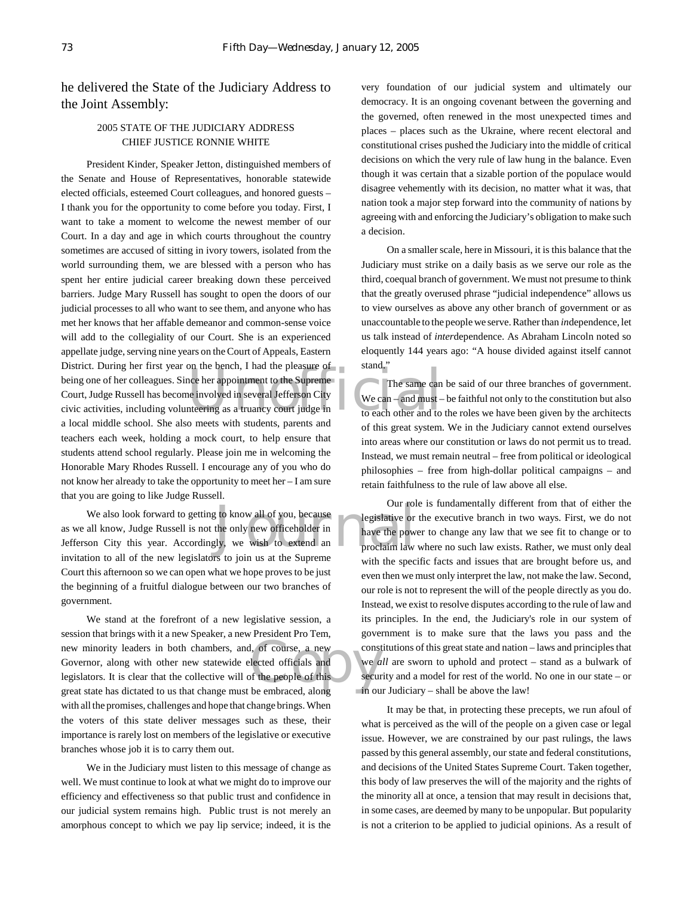he delivered the State of the Judiciary Address to the Joint Assembly:

#### 2005 STATE OF THE JUDICIARY ADDRESS CHIEF JUSTICE RONNIE WHITE

District. During her first year on the bench, I had the pleasure of<br>
being one of her colleagues. Since her appointment to the Supreme<br>
Court, Judge Russell has become involved in several Jefferson City<br>
civic activities, President Kinder, Speaker Jetton, distinguished members of the Senate and House of Representatives, honorable statewide elected officials, esteemed Court colleagues, and honored guests – I thank you for the opportunity to come before you today. First, I want to take a moment to welcome the newest member of our Court. In a day and age in which courts throughout the country sometimes are accused of sitting in ivory towers, isolated from the world surrounding them, we are blessed with a person who has spent her entire judicial career breaking down these perceived barriers. Judge Mary Russell has sought to open the doors of our judicial processes to all who want to see them, and anyone who has met her knows that her affable demeanor and common-sense voice will add to the collegiality of our Court. She is an experienced appellate judge, serving nine years on the Court of Appeals, Eastern being one of her colleagues. Since her appointment to the Supreme Court, Judge Russell has become involved in several Jefferson City civic activities, including volunteering as a truancy court judge in a local middle school. She also meets with students, parents and teachers each week, holding a mock court, to help ensure that students attend school regularly. Please join me in welcoming the Honorable Mary Rhodes Russell. I encourage any of you who do not know her already to take the opportunity to meet her – I am sure that you are going to like Judge Russell.

Uur rol<br>the only new officeholder in<br>div, we wish to extend an an approclaim law<br>grade is in us at the Suprame<br>proclaim law We also look forward to getting to know all of you, because as we all know, Judge Russell is not the only new officeholder in Jefferson City this year. Accordingly, we wish to extend an invitation to all of the new legislators to join us at the Supreme Court this afternoon so we can open what we hope proves to be just the beginning of a fruitful dialogue between our two branches of government.

new minority leaders in both chambers, and, of course, a new<br>
Governor, along with other new statewide elected officials and<br>
legislators. It is clear that the collective will of the people of this<br>
great state has dictate We stand at the forefront of a new legislative session, a session that brings with it a new Speaker, a new President Pro Tem, Governor, along with other new statewide elected officials and legislators. It is clear that the collective will of the people of this great state has dictated to us that change must be embraced, along with all the promises, challenges and hope that change brings. When the voters of this state deliver messages such as these, their importance is rarely lost on members of the legislative or executive branches whose job it is to carry them out.

We in the Judiciary must listen to this message of change as well. We must continue to look at what we might do to improve our efficiency and effectiveness so that public trust and confidence in our judicial system remains high. Public trust is not merely an amorphous concept to which we pay lip service; indeed, it is the very foundation of our judicial system and ultimately our democracy. It is an ongoing covenant between the governing and the governed, often renewed in the most unexpected times and places – places such as the Ukraine, where recent electoral and constitutional crises pushed the Judiciary into the middle of critical decisions on which the very rule of law hung in the balance. Even though it was certain that a sizable portion of the populace would disagree vehemently with its decision, no matter what it was, that nation took a major step forward into the community of nations by agreeing with and enforcing the Judiciary's obligation to make such a decision.

On a smaller scale, here in Missouri, it is this balance that the Judiciary must strike on a daily basis as we serve our role as the third, coequal branch of government. We must not presume to think that the greatly overused phrase "judicial independence" allows us to view ourselves as above any other branch of government or as unaccountable to the people we serve. Rather than *in*dependence, let us talk instead of *inter*dependence. As Abraham Lincoln noted so eloquently 144 years ago: "A house divided against itself cannot stand."

The same can be said of our three branches of government. We can  $-$  and must  $-$  be faithful not only to the constitution but also to each other and to the roles we have been given by the architects of this great system. We in the Judiciary cannot extend ourselves into areas where our constitution or laws do not permit us to tread. Instead, we must remain neutral – free from political or ideological philosophies – free from high-dollar political campaigns – and retain faithfulness to the rule of law above all else.

Our role is fundamentally different from that of either the legislative or the executive branch in two ways. First, we do not have the power to change any law that we see fit to change or to proclaim law where no such law exists. Rather, we must only deal with the specific facts and issues that are brought before us, and even then we must only interpret the law, not make the law. Second, our role is not to represent the will of the people directly as you do. Instead, we exist to resolve disputes according to the rule of law and its principles. In the end, the Judiciary's role in our system of government is to make sure that the laws you pass and the constitutions of this great state and nation – laws and principles that we *all* are sworn to uphold and protect – stand as a bulwark of security and a model for rest of the world. No one in our state – or in our Judiciary – shall be above the law!

It may be that, in protecting these precepts, we run afoul of what is perceived as the will of the people on a given case or legal issue. However, we are constrained by our past rulings, the laws passed by this general assembly, our state and federal constitutions, and decisions of the United States Supreme Court. Taken together, this body of law preserves the will of the majority and the rights of the minority all at once, a tension that may result in decisions that, in some cases, are deemed by many to be unpopular. But popularity is not a criterion to be applied to judicial opinions. As a result of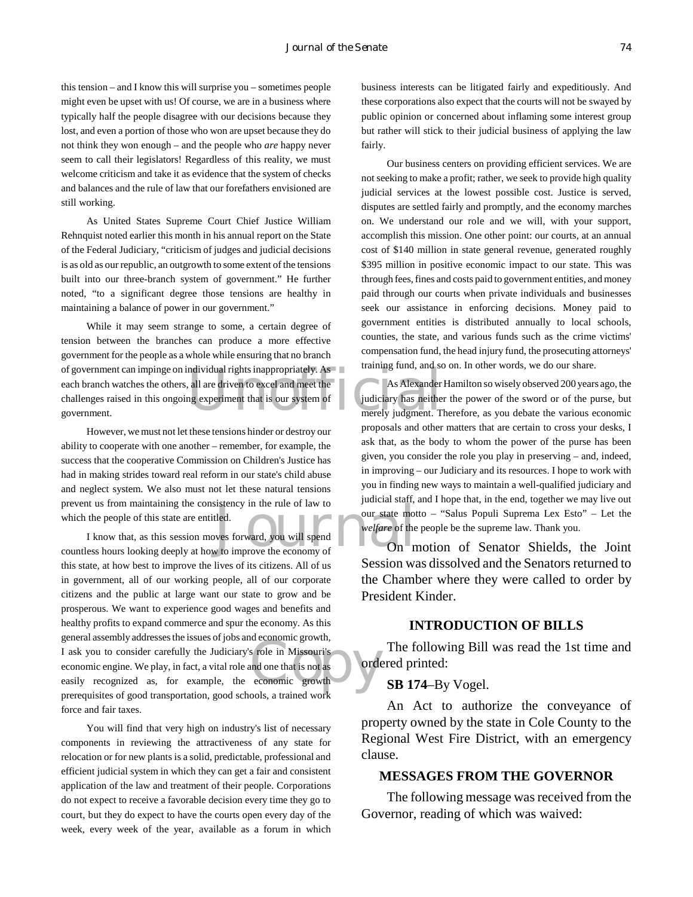this tension – and I know this will surprise you – sometimes people might even be upset with us! Of course, we are in a business where typically half the people disagree with our decisions because they lost, and even a portion of those who won are upset because they do not think they won enough – and the people who *are* happy never seem to call their legislators! Regardless of this reality, we must welcome criticism and take it as evidence that the system of checks and balances and the rule of law that our forefathers envisioned are still working.

As United States Supreme Court Chief Justice William Rehnquist noted earlier this month in his annual report on the State of the Federal Judiciary, "criticism of judges and judicial decisions is as old as our republic, an outgrowth to some extent of the tensions built into our three-branch system of government." He further noted, "to a significant degree those tensions are healthy in maintaining a balance of power in our government."

ndividual rights inappropriately. As<br>all are driven to excel and meet the<br>ng experiment that is our system of<br>merely judgment. The While it may seem strange to some, a certain degree of tension between the branches can produce a more effective government for the people as a whole while ensuring that no branch of government can impinge on individual rights inappropriately. As each branch watches the others, all are driven to excel and meet the challenges raised in this ongoing experiment that is our system of government.

However, we must not let these tensions hinder or destroy our ability to cooperate with one another – remember, for example, the success that the cooperative Commission on Children's Justice has had in making strides toward real reform in our state's child abuse and neglect system. We also must not let these natural tensions prevent us from maintaining the consistency in the rule of law to which the people of this state are entitled.

Sustency in the rule of law to<br>the bour state mot<br>the bour state mot<br>welfare of the<br>welfare of the<br>v to improve the economy of s role in Missouri's<br>
and one that is not as<br>
economic growth<br>
explored with I know that, as this session moves forward, you will spend countless hours looking deeply at how to improve the economy of this state, at how best to improve the lives of its citizens. All of us in government, all of our working people, all of our corporate citizens and the public at large want our state to grow and be prosperous. We want to experience good wages and benefits and healthy profits to expand commerce and spur the economy. As this general assembly addresses the issues of jobs and economic growth, I ask you to consider carefully the Judiciary's role in Missouri's economic engine. We play, in fact, a vital role and one that is not as easily recognized as, for example, the economic growth prerequisites of good transportation, good schools, a trained work force and fair taxes.

You will find that very high on industry's list of necessary components in reviewing the attractiveness of any state for relocation or for new plants is a solid, predictable, professional and efficient judicial system in which they can get a fair and consistent application of the law and treatment of their people. Corporations do not expect to receive a favorable decision every time they go to court, but they do expect to have the courts open every day of the week, every week of the year, available as a forum in which

business interests can be litigated fairly and expeditiously. And these corporations also expect that the courts will not be swayed by public opinion or concerned about inflaming some interest group but rather will stick to their judicial business of applying the law fairly.

Our business centers on providing efficient services. We are not seeking to make a profit; rather, we seek to provide high quality judicial services at the lowest possible cost. Justice is served, disputes are settled fairly and promptly, and the economy marches on. We understand our role and we will, with your support, accomplish this mission. One other point: our courts, at an annual cost of \$140 million in state general revenue, generated roughly \$395 million in positive economic impact to our state. This was through fees, fines and costs paid to government entities, and money paid through our courts when private individuals and businesses seek our assistance in enforcing decisions. Money paid to government entities is distributed annually to local schools, counties, the state, and various funds such as the crime victims' compensation fund, the head injury fund, the prosecuting attorneys' training fund, and so on. In other words, we do our share.

As Alexander Hamilton so wisely observed 200 years ago, the judiciary has neither the power of the sword or of the purse, but merely judgment. Therefore, as you debate the various economic proposals and other matters that are certain to cross your desks, I ask that, as the body to whom the power of the purse has been given, you consider the role you play in preserving – and, indeed, in improving – our Judiciary and its resources. I hope to work with you in finding new ways to maintain a well-qualified judiciary and judicial staff, and I hope that, in the end, together we may live out our state motto – "Salus Populi Suprema Lex Esto" – Let the *welfare* of the people be the supreme law. Thank you.

On motion of Senator Shields, the Joint Session was dissolved and the Senators returned to the Chamber where they were called to order by President Kinder.

#### **INTRODUCTION OF BILLS**

The following Bill was read the 1st time and ordered printed:

#### **SB 174**–By Vogel.

An Act to authorize the conveyance of property owned by the state in Cole County to the Regional West Fire District, with an emergency clause.

#### **MESSAGES FROM THE GOVERNOR**

The following message was received from the Governor, reading of which was waived: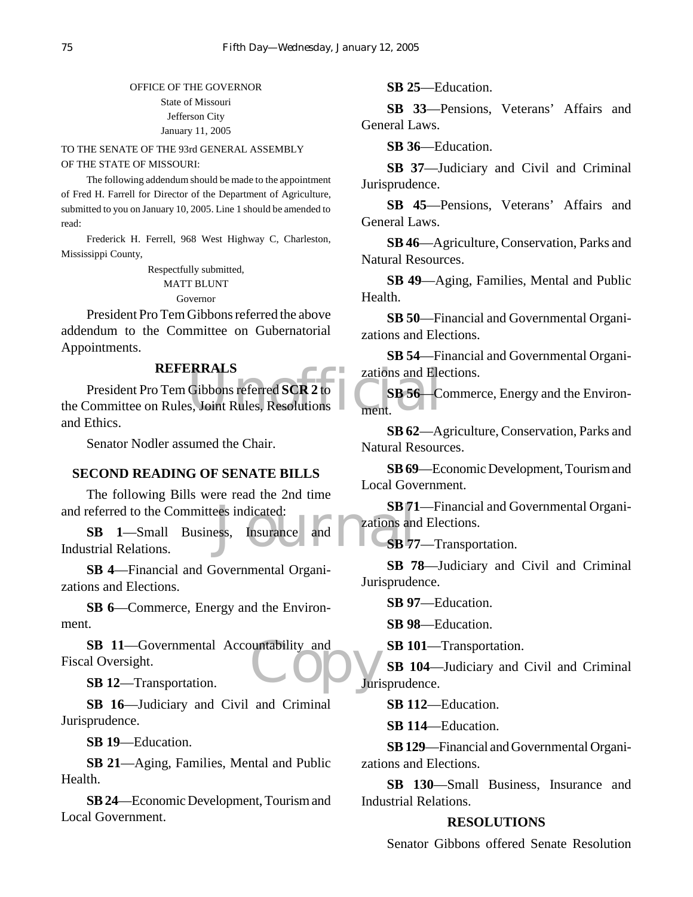#### OFFICE OF THE GOVERNOR State of Missouri Jefferson City January 11, 2005

#### TO THE SENATE OF THE 93rd GENERAL ASSEMBLY OF THE STATE OF MISSOURI:

The following addendum should be made to the appointment of Fred H. Farrell for Director of the Department of Agriculture, submitted to you on January 10, 2005. Line 1 should be amended to read:

Frederick H. Ferrell, 968 West Highway C, Charleston, Mississippi County,

Respectfully submitted,

MATT BLUNT

Governor

President Pro Tem Gibbons referred the above addendum to the Committee on Gubernatorial Appointments.

#### **REFERRALS**

REFERRALS<br>
President Pro Tem Gibbons referred SCR 2 to<br>
the Committee on Rules, Joint Rules, Resolutions<br>
and Ethics President Pro Tem Gibbons referred **SCR 2** to and Ethics.

Senator Nodler assumed the Chair.

#### **SECOND READING OF SENATE BILLS**

The following Bills were read the 2nd time and referred to the Committees indicated:

ees indicated:<br>
Surance and Cations and SB 77 **SB 1**—Small Business, Insurance and Industrial Relations.

**SB 4**—Financial and Governmental Organizations and Elections.

**SB 6**—Commerce, Energy and the Environment.

SB 11—Governmental Accountability and<br>
al Oversight.<br>
SB 12—Transportation. Fiscal Oversight.

**SB 12**—Transportation.

**SB 16**—Judiciary and Civil and Criminal Jurisprudence.

**SB 19**—Education.

**SB 21**—Aging, Families, Mental and Public Health.

**SB 24**—Economic Development, Tourism and Local Government.

**SB 25**—Education.

**SB 33**—Pensions, Veterans' Affairs and General Laws.

**SB 36**—Education.

**SB 37**—Judiciary and Civil and Criminal Jurisprudence.

**SB 45**—Pensions, Veterans' Affairs and General Laws.

**SB 46**—Agriculture, Conservation, Parks and Natural Resources.

**SB 49**—Aging, Families, Mental and Public Health.

**SB 50**—Financial and Governmental Organizations and Elections.

**SB 54**—Financial and Governmental Organizations and Elections.

**SB 56**—Commerce, Energy and the Environment.

**SB 62**—Agriculture, Conservation, Parks and Natural Resources.

**SB 69**—Economic Development, Tourism and Local Government.

**SB 71**—Financial and Governmental Organizations and Elections.

**SB 77**—Transportation.

**SB 78**—Judiciary and Civil and Criminal Jurisprudence.

**SB 97**—Education.

**SB 98**—Education.

**SB 101**—Transportation.

**SB 104**—Judiciary and Civil and Criminal Jurisprudence.

**SB 112**—Education.

**SB 114**—Education.

**SB 129**—Financial and Governmental Organizations and Elections.

**SB 130**—Small Business, Insurance and Industrial Relations.

#### **RESOLUTIONS**

Senator Gibbons offered Senate Resolution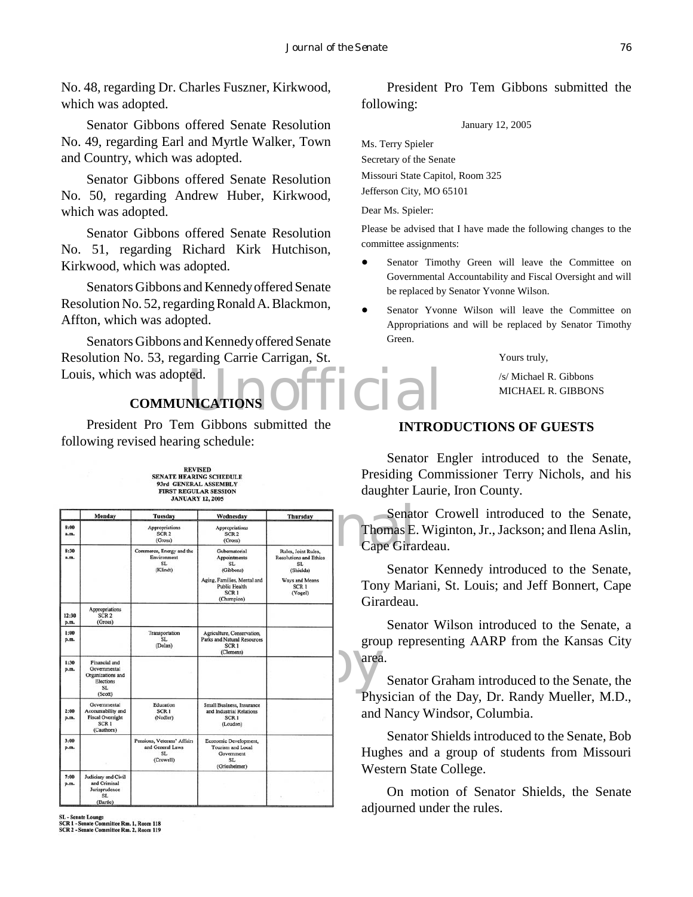No. 48, regarding Dr. Charles Fuszner, Kirkwood, which was adopted.

Senator Gibbons offered Senate Resolution No. 49, regarding Earl and Myrtle Walker, Town and Country, which was adopted.

Senator Gibbons offered Senate Resolution No. 50, regarding Andrew Huber, Kirkwood, which was adopted.

Senator Gibbons offered Senate Resolution No. 51, regarding Richard Kirk Hutchison, Kirkwood, which was adopted.

Senators Gibbons and Kennedy offered Senate Resolution No. 52, regarding Ronald A. Blackmon, Affton, which was adopted.

NICATIONS Official Senators Gibbons and Kennedy offered Senate Resolution No. 53, regarding Carrie Carrigan, St. Louis, which was adopted.

## **COMMUNICATIONS**

President Pro Tem Gibbons submitted the following revised hearing schedule:

> REVISED<br>SENATE HEARING SCHEDULE 93rd GENERAL ASSEMBLY<br>FIRST REGULAR SESSION **JANUARY 12, 2005**

|               | Monday                                                                                          | <b>Tuesday</b>                                                     | Wednesday                                                                                                                          | <b>Thursday</b>                                                                                                          | Senat                                                                   |  |
|---------------|-------------------------------------------------------------------------------------------------|--------------------------------------------------------------------|------------------------------------------------------------------------------------------------------------------------------------|--------------------------------------------------------------------------------------------------------------------------|-------------------------------------------------------------------------|--|
| 8:00<br>a.m.  |                                                                                                 | Appropriations<br>SCR <sub>2</sub><br>(Gross)                      | Appropriations<br>SCR <sub>2</sub><br>(Gross)                                                                                      |                                                                                                                          | Thomas E.                                                               |  |
| 8:30<br>a.m.  |                                                                                                 | Commerce, Energy and the<br>Environment<br>SL<br>(Klindt)          | Gubernatorial<br>Appointments<br>SL<br>(Gibbons)<br>Aging, Families, Mental and<br>Public Health<br>SCR <sub>1</sub><br>(Champion) | Rules, Joint Rules,<br><b>Resolutions and Ethics</b><br>SL<br>(Shields)<br>Ways and Means<br>SCR <sub>1</sub><br>(Vogel) | Cape Gira<br>Senat<br>Tony Mar<br>Girardeau.                            |  |
| 12:30<br>p.m. | Appropriations<br>SCR <sub>2</sub><br>(Gross)                                                   |                                                                    |                                                                                                                                    |                                                                                                                          | Senat                                                                   |  |
| 1:00<br>p.m.  |                                                                                                 | Transportation<br>SL.<br>(Dolan)                                   | Agriculture, Conservation,<br>Parks and Natural Resources<br>SCR <sub>1</sub><br>(Clemens)                                         |                                                                                                                          | group repi                                                              |  |
| 1:30<br>p.m.  | Financial and<br>Governmental<br>Organizations and<br>Elections<br>SL.<br>(Scott)               |                                                                    |                                                                                                                                    |                                                                                                                          | area.<br>Senat                                                          |  |
| 2:00<br>p.m.  | Governmental<br>Accountability and<br><b>Fiscal Oversight</b><br>SCR <sub>1</sub><br>(Cauthorn) | Education<br>SCR <sub>1</sub><br>(Nodler)                          | Small Business, Insurance<br>and Industrial Relations<br>SCR <sub>1</sub><br>(Loudon)                                              |                                                                                                                          | Physician<br>and Nancy<br>Senat<br>Hughes an<br>Western S<br>On n<br>1. |  |
| 3:00<br>p.m.  |                                                                                                 | Pensions, Veterans' Affairs<br>and General Laws<br>SL<br>(Crowell) | Economic Development,<br>Tourism and Local<br>Government<br>SL.<br>(Griesheimer)                                                   |                                                                                                                          |                                                                         |  |
| 7:00<br>p.m.  | Judiciary and Civil<br>and Criminal<br>Jurisprudence<br>SL.<br>(Bartle)                         |                                                                    |                                                                                                                                    |                                                                                                                          |                                                                         |  |

SL - Senate Lounge<br>SCR 1 - Senate Committee Rm. 1, Room 118<br>SCR 2 - Senate Committee Rm. 2, Room 119

President Pro Tem Gibbons submitted the following:

January 12, 2005

Ms. Terry Spieler Secretary of the Senate Missouri State Capitol, Room 325 Jefferson City, MO 65101

Dear Ms. Spieler:

Please be advised that I have made the following changes to the committee assignments:

- ! Senator Timothy Green will leave the Committee on Governmental Accountability and Fiscal Oversight and will be replaced by Senator Yvonne Wilson.
- ! Senator Yvonne Wilson will leave the Committee on Appropriations and will be replaced by Senator Timothy Green.

Yours truly,

/s/ Michael R. Gibbons MICHAEL R. GIBBONS

#### **INTRODUCTIONS OF GUESTS**

Senator Engler introduced to the Senate, Presiding Commissioner Terry Nichols, and his daughter Laurie, Iron County.

Senator Crowell introduced to the Senate, Thomas E. Wiginton, Jr., Jackson; and Ilena Aslin, Cape Girardeau.

Senator Kennedy introduced to the Senate, Tony Mariani, St. Louis; and Jeff Bonnert, Cape Girardeau.

Senator Wilson introduced to the Senate, a group representing AARP from the Kansas City area.

Senator Graham introduced to the Senate, the Physician of the Day, Dr. Randy Mueller, M.D., and Nancy Windsor, Columbia.

Senator Shields introduced to the Senate, Bob Hughes and a group of students from Missouri Western State College.

On motion of Senator Shields, the Senate adjourned under the rules.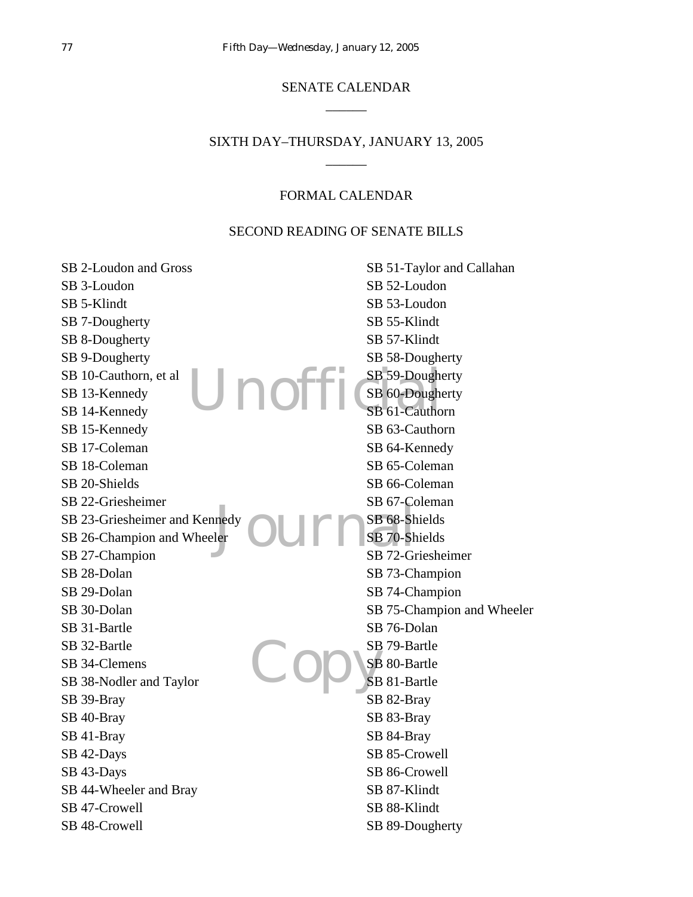# SENATE CALENDAR  $\overline{\phantom{a}}$

# SIXTH DAY–THURSDAY, JANUARY 13, 2005 \_\_\_\_\_\_

# FORMAL CALENDAR

### SECOND READING OF SENATE BILLS

| SB 2-Loudon and Gross         | SB 51-Taylor and Callahan  |
|-------------------------------|----------------------------|
| SB 3-Loudon                   | SB 52-Loudon               |
| SB 5-Klindt                   | SB 53-Loudon               |
| SB 7-Dougherty                | SB 55-Klindt               |
| SB 8-Dougherty                | SB 57-Klindt               |
| SB 9-Dougherty                | SB 58-Dougherty            |
| SB 10-Cauthorn, et al         | SB 59-Dougherty            |
| Unoffi<br>SB 13-Kennedy       | SB 60-Dougherty            |
| SB 14-Kennedy                 | SB 61-Cauthorn             |
| SB 15-Kennedy                 | SB 63-Cauthorn             |
| SB 17-Coleman                 | SB 64-Kennedy              |
| SB 18-Coleman                 | SB 65-Coleman              |
| SB 20-Shields                 | SB 66-Coleman              |
| SB 22-Griesheimer             | SB 67-Coleman              |
| SB 23-Griesheimer and Kennedy | SB 68-Shields              |
| SB 26-Champion and Wheeler    | SB 70-Shields              |
| SB 27-Champion                | SB 72-Griesheimer          |
| SB 28-Dolan                   | SB 73-Champion             |
| SB 29-Dolan                   | SB 74-Champion             |
| SB 30-Dolan                   | SB 75-Champion and Wheeler |
| SB 31-Bartle                  | SB 76-Dolan                |
| SB 32-Bartle                  | SB 79-Bartle               |
| SB 34-Clemens                 | SB 80-Bartle               |
| SB 38-Nodler and Taylor       | SB 81-Bartle               |
| SB 39-Bray                    | SB 82-Bray                 |
| SB 40-Bray                    | SB 83-Bray                 |
| SB 41-Bray                    | SB 84-Bray                 |
| SB 42-Days                    | SB 85-Crowell              |
| SB 43-Days                    | SB 86-Crowell              |
| SB 44-Wheeler and Bray        | SB 87-Klindt               |
| SB 47-Crowell                 | SB 88-Klindt               |
| SB 48-Crowell                 | SB 89-Dougherty            |
|                               |                            |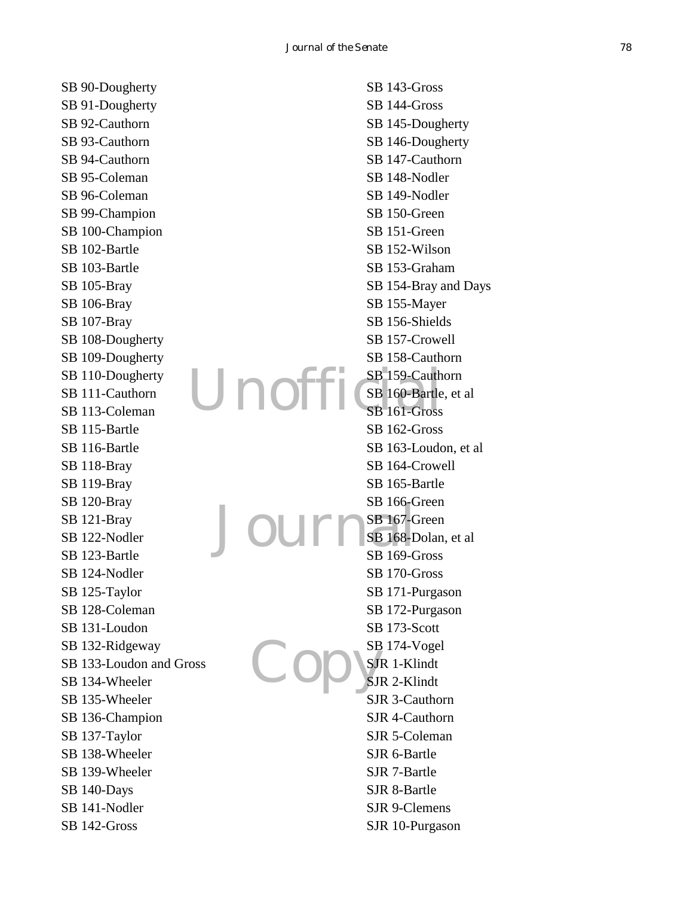SB 90-Dougherty SB 91-Dougherty SB 92-Cauthorn SB 93-Cauthorn SB 94-Cauthorn SB 95-Coleman SB 96-Coleman SB 99-Champion SB 100-Champion SB 102-Bartle SB 103-Bartle SB 105-Bray SB 106-Bray SB 107-Bray SB 108-Dougherty SB 109-Dougherty SB 110-Dougherty SB 111-Cauthorn SB 113-Coleman SB 115-Bartle SB 116-Bartle SB 118-Bray SB 119-Bray SB 120-Bray SB 121-Bray SB 122-Nodler SB 123-Bartle SB 124-Nodler SB 125-Taylor SB 128-Coleman SB 131-Loudon SB 132-Ridgeway SB 133-Loudon and Gross SB 134-Wheeler SB 135-Wheeler SB 136-Champion SB 137-Taylor SB 138-Wheeler SB 139-Wheeler SB 140-Days SB 141-Nodler SB 142-Gross

Unoff Jourr Copys SB 143-Gross SB 144-Gross SB 145-Dougherty SB 146-Dougherty SB 147-Cauthorn SB 148-Nodler SB 149-Nodler SB 150-Green SB 151-Green SB 152-Wilson SB 153-Graham SB 154-Bray and Days SB 155-Mayer SB 156-Shields SB 157-Crowell SB 158-Cauthorn SB 159-Cauthorn SB 160-Bartle, et al SB 161-Gross SB 162-Gross SB 163-Loudon, et al SB 164-Crowell SB 165-Bartle SB 166-Green SB 167-Green SB 168-Dolan, et al SB 169-Gross SB 170-Gross SB 171-Purgason SB 172-Purgason SB 173-Scott SB 174-Vogel SJR 1-Klindt SJR 2-Klindt SJR 3-Cauthorn SJR 4-Cauthorn SJR 5-Coleman SJR 6-Bartle SJR 7-Bartle SJR 8-Bartle SJR 9-Clemens SJR 10-Purgason